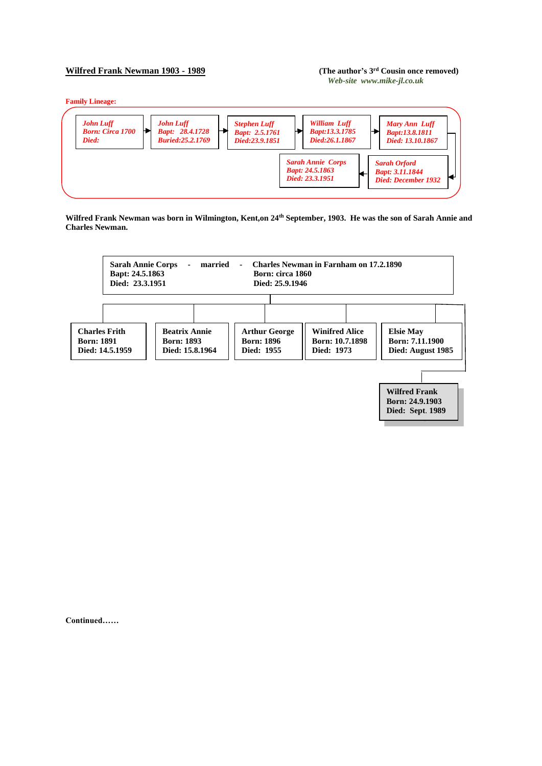## **Wilfred Frank Newman 1903 - 1989**

## (The author's 3<sup>rd</sup> Cousin once removed) *Web-site www.mike-jl.co.uk*

**Family Lineage:**



**Wilfred Frank Newman was born in Wilmington, Kent,on 24th September, 1903. He was the son of Sarah Annie and Charles Newman.**



**Continued……**